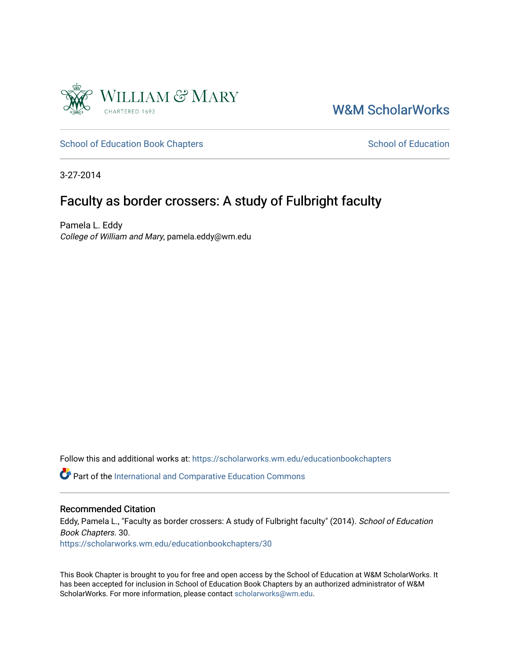

## [W&M ScholarWorks](https://scholarworks.wm.edu/)

[School of Education Book Chapters](https://scholarworks.wm.edu/educationbookchapters) [School of Education](https://scholarworks.wm.edu/education) School of Education

3-27-2014

## Faculty as border crossers: A study of Fulbright faculty

Pamela L. Eddy College of William and Mary, pamela.eddy@wm.edu

Follow this and additional works at: [https://scholarworks.wm.edu/educationbookchapters](https://scholarworks.wm.edu/educationbookchapters?utm_source=scholarworks.wm.edu%2Feducationbookchapters%2F30&utm_medium=PDF&utm_campaign=PDFCoverPages)

Part of the [International and Comparative Education Commons](http://network.bepress.com/hgg/discipline/797?utm_source=scholarworks.wm.edu%2Feducationbookchapters%2F30&utm_medium=PDF&utm_campaign=PDFCoverPages) 

### Recommended Citation

Eddy, Pamela L., "Faculty as border crossers: A study of Fulbright faculty" (2014). School of Education Book Chapters. 30.

[https://scholarworks.wm.edu/educationbookchapters/30](https://scholarworks.wm.edu/educationbookchapters/30?utm_source=scholarworks.wm.edu%2Feducationbookchapters%2F30&utm_medium=PDF&utm_campaign=PDFCoverPages) 

This Book Chapter is brought to you for free and open access by the School of Education at W&M ScholarWorks. It has been accepted for inclusion in School of Education Book Chapters by an authorized administrator of W&M ScholarWorks. For more information, please contact [scholarworks@wm.edu.](mailto:scholarworks@wm.edu)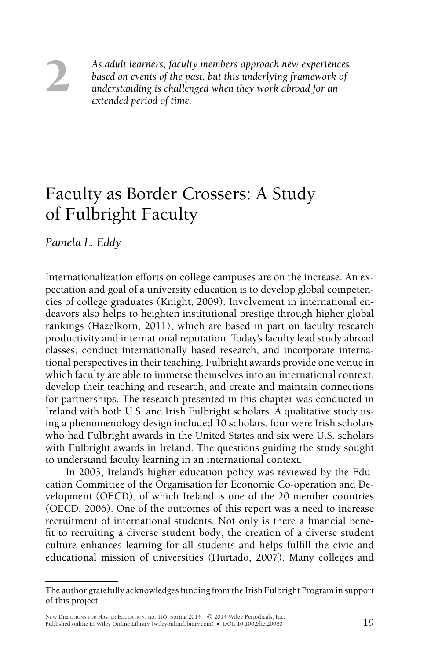**2** *As adult learners, faculty members approach new experiences based on events of the past, but this underlying framework of weather than weak abraed for an based on events of the past, but this underlying framework of understanding is challenged when they work abroad for an extended period of time.*

# Faculty as Border Crossers: A Study of Fulbright Faculty

*Pamela L. Eddy*

Internationalization efforts on college campuses are on the increase. An expectation and goal of a university education is to develop global competencies of college graduates (Knight, 2009). Involvement in international endeavors also helps to heighten institutional prestige through higher global rankings (Hazelkorn, 2011), which are based in part on faculty research productivity and international reputation. Today's faculty lead study abroad classes, conduct internationally based research, and incorporate international perspectives in their teaching. Fulbright awards provide one venue in which faculty are able to immerse themselves into an international context, develop their teaching and research, and create and maintain connections for partnerships. The research presented in this chapter was conducted in Ireland with both U.S. and Irish Fulbright scholars. A qualitative study using a phenomenology design included 10 scholars, four were Irish scholars who had Fulbright awards in the United States and six were U.S. scholars with Fulbright awards in Ireland. The questions guiding the study sought to understand faculty learning in an international context.

In 2003, Ireland's higher education policy was reviewed by the Education Committee of the Organisation for Economic Co-operation and Development (OECD), of which Ireland is one of the 20 member countries (OECD, 2006). One of the outcomes of this report was a need to increase recruitment of international students. Not only is there a financial benefit to recruiting a diverse student body, the creation of a diverse student culture enhances learning for all students and helps fulfill the civic and educational mission of universities (Hurtado, 2007). Many colleges and

The author gratefully acknowledges funding from the Irish Fulbright Program in support of this project.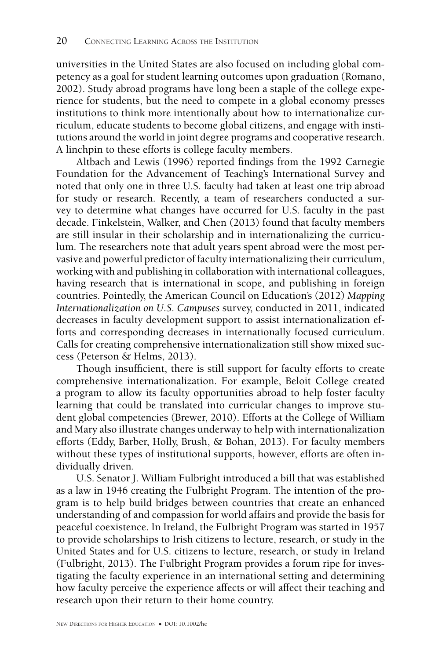universities in the United States are also focused on including global competency as a goal for student learning outcomes upon graduation (Romano, 2002). Study abroad programs have long been a staple of the college experience for students, but the need to compete in a global economy presses institutions to think more intentionally about how to internationalize curriculum, educate students to become global citizens, and engage with institutions around the world in joint degree programs and cooperative research. A linchpin to these efforts is college faculty members.

Altbach and Lewis (1996) reported findings from the 1992 Carnegie Foundation for the Advancement of Teaching's International Survey and noted that only one in three U.S. faculty had taken at least one trip abroad for study or research. Recently, a team of researchers conducted a survey to determine what changes have occurred for U.S. faculty in the past decade. Finkelstein, Walker, and Chen (2013) found that faculty members are still insular in their scholarship and in internationalizing the curriculum. The researchers note that adult years spent abroad were the most pervasive and powerful predictor of faculty internationalizing their curriculum, working with and publishing in collaboration with international colleagues, having research that is international in scope, and publishing in foreign countries. Pointedly, the American Council on Education's (2012) *Mapping Internationalization on U.S. Campuses* survey, conducted in 2011, indicated decreases in faculty development support to assist internationalization efforts and corresponding decreases in internationally focused curriculum. Calls for creating comprehensive internationalization still show mixed success (Peterson & Helms, 2013).

Though insufficient, there is still support for faculty efforts to create comprehensive internationalization. For example, Beloit College created a program to allow its faculty opportunities abroad to help foster faculty learning that could be translated into curricular changes to improve student global competencies (Brewer, 2010). Efforts at the College of William and Mary also illustrate changes underway to help with internationalization efforts (Eddy, Barber, Holly, Brush, & Bohan, 2013). For faculty members without these types of institutional supports, however, efforts are often individually driven.

U.S. Senator J. William Fulbright introduced a bill that was established as a law in 1946 creating the Fulbright Program. The intention of the program is to help build bridges between countries that create an enhanced understanding of and compassion for world affairs and provide the basis for peaceful coexistence. In Ireland, the Fulbright Program was started in 1957 to provide scholarships to Irish citizens to lecture, research, or study in the United States and for U.S. citizens to lecture, research, or study in Ireland (Fulbright, 2013). The Fulbright Program provides a forum ripe for investigating the faculty experience in an international setting and determining how faculty perceive the experience affects or will affect their teaching and research upon their return to their home country.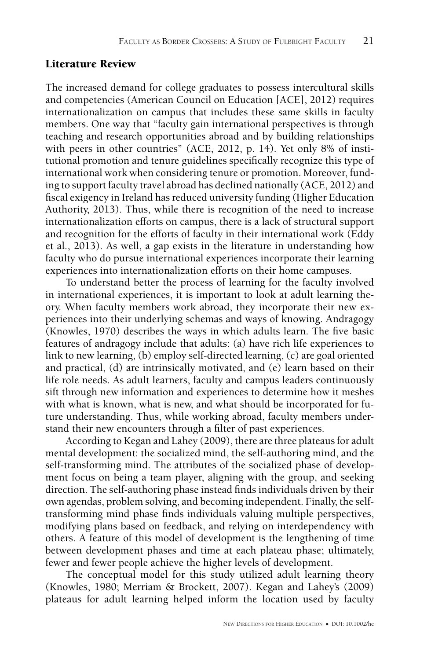#### **Literature Review**

The increased demand for college graduates to possess intercultural skills and competencies (American Council on Education [ACE], 2012) requires internationalization on campus that includes these same skills in faculty members. One way that "faculty gain international perspectives is through teaching and research opportunities abroad and by building relationships with peers in other countries" (ACE, 2012, p. 14). Yet only 8% of institutional promotion and tenure guidelines specifically recognize this type of international work when considering tenure or promotion. Moreover, funding to support faculty travel abroad has declined nationally (ACE, 2012) and fiscal exigency in Ireland has reduced university funding (Higher Education Authority, 2013). Thus, while there is recognition of the need to increase internationalization efforts on campus, there is a lack of structural support and recognition for the efforts of faculty in their international work (Eddy et al., 2013). As well, a gap exists in the literature in understanding how faculty who do pursue international experiences incorporate their learning experiences into internationalization efforts on their home campuses.

To understand better the process of learning for the faculty involved in international experiences, it is important to look at adult learning theory. When faculty members work abroad, they incorporate their new experiences into their underlying schemas and ways of knowing. Andragogy (Knowles, 1970) describes the ways in which adults learn. The five basic features of andragogy include that adults: (a) have rich life experiences to link to new learning, (b) employ self-directed learning, (c) are goal oriented and practical, (d) are intrinsically motivated, and (e) learn based on their life role needs. As adult learners, faculty and campus leaders continuously sift through new information and experiences to determine how it meshes with what is known, what is new, and what should be incorporated for future understanding. Thus, while working abroad, faculty members understand their new encounters through a filter of past experiences.

According to Kegan and Lahey (2009), there are three plateaus for adult mental development: the socialized mind, the self-authoring mind, and the self-transforming mind. The attributes of the socialized phase of development focus on being a team player, aligning with the group, and seeking direction. The self-authoring phase instead finds individuals driven by their own agendas, problem solving, and becoming independent. Finally, the selftransforming mind phase finds individuals valuing multiple perspectives, modifying plans based on feedback, and relying on interdependency with others. A feature of this model of development is the lengthening of time between development phases and time at each plateau phase; ultimately, fewer and fewer people achieve the higher levels of development.

The conceptual model for this study utilized adult learning theory (Knowles, 1980; Merriam & Brockett, 2007). Kegan and Lahey's (2009) plateaus for adult learning helped inform the location used by faculty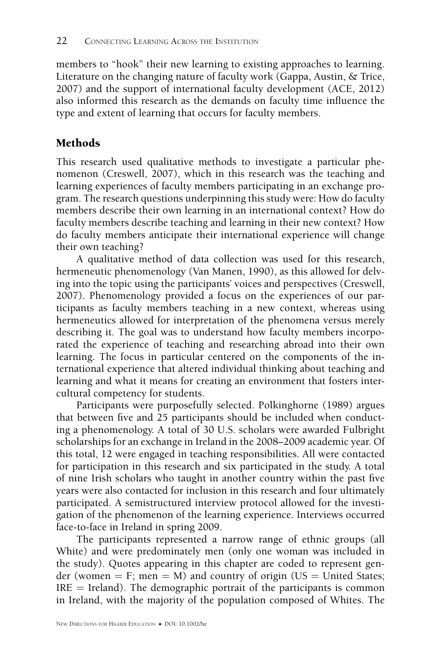members to "hook" their new learning to existing approaches to learning. Literature on the changing nature of faculty work (Gappa, Austin, & Trice, 2007) and the support of international faculty development (ACE, 2012) also informed this research as the demands on faculty time influence the type and extent of learning that occurs for faculty members.

### **Methods**

This research used qualitative methods to investigate a particular phenomenon (Creswell, 2007), which in this research was the teaching and learning experiences of faculty members participating in an exchange program. The research questions underpinning this study were: How do faculty members describe their own learning in an international context? How do faculty members describe teaching and learning in their new context? How do faculty members anticipate their international experience will change their own teaching?

A qualitative method of data collection was used for this research, hermeneutic phenomenology (Van Manen, 1990), as this allowed for delving into the topic using the participants' voices and perspectives (Creswell, 2007). Phenomenology provided a focus on the experiences of our participants as faculty members teaching in a new context, whereas using hermeneutics allowed for interpretation of the phenomena versus merely describing it. The goal was to understand how faculty members incorporated the experience of teaching and researching abroad into their own learning. The focus in particular centered on the components of the international experience that altered individual thinking about teaching and learning and what it means for creating an environment that fosters intercultural competency for students.

Participants were purposefully selected. Polkinghorne (1989) argues that between five and 25 participants should be included when conducting a phenomenology. A total of 30 U.S. scholars were awarded Fulbright scholarships for an exchange in Ireland in the 2008–2009 academic year. Of this total, 12 were engaged in teaching responsibilities. All were contacted for participation in this research and six participated in the study. A total of nine Irish scholars who taught in another country within the past five years were also contacted for inclusion in this research and four ultimately participated. A semistructured interview protocol allowed for the investigation of the phenomenon of the learning experience. Interviews occurred face-to-face in Ireland in spring 2009.

The participants represented a narrow range of ethnic groups (all White) and were predominately men (only one woman was included in the study). Quotes appearing in this chapter are coded to represent gender (women  $=$  F; men  $=$  M) and country of origin (US  $=$  United States;  $IRE = Ireland$ ). The demographic portrait of the participants is common in Ireland, with the majority of the population composed of Whites. The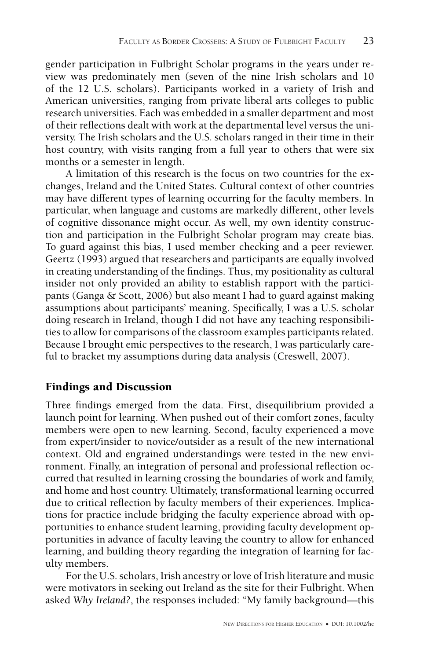gender participation in Fulbright Scholar programs in the years under review was predominately men (seven of the nine Irish scholars and 10 of the 12 U.S. scholars). Participants worked in a variety of Irish and American universities, ranging from private liberal arts colleges to public research universities. Each was embedded in a smaller department and most of their reflections dealt with work at the departmental level versus the university. The Irish scholars and the U.S. scholars ranged in their time in their host country, with visits ranging from a full year to others that were six months or a semester in length.

A limitation of this research is the focus on two countries for the exchanges, Ireland and the United States. Cultural context of other countries may have different types of learning occurring for the faculty members. In particular, when language and customs are markedly different, other levels of cognitive dissonance might occur. As well, my own identity construction and participation in the Fulbright Scholar program may create bias. To guard against this bias, I used member checking and a peer reviewer. Geertz (1993) argued that researchers and participants are equally involved in creating understanding of the findings. Thus, my positionality as cultural insider not only provided an ability to establish rapport with the participants (Ganga & Scott, 2006) but also meant I had to guard against making assumptions about participants' meaning. Specifically, I was a U.S. scholar doing research in Ireland, though I did not have any teaching responsibilities to allow for comparisons of the classroom examples participants related. Because I brought emic perspectives to the research, I was particularly careful to bracket my assumptions during data analysis (Creswell, 2007).

#### **Findings and Discussion**

Three findings emerged from the data. First, disequilibrium provided a launch point for learning. When pushed out of their comfort zones, faculty members were open to new learning. Second, faculty experienced a move from expert/insider to novice/outsider as a result of the new international context. Old and engrained understandings were tested in the new environment. Finally, an integration of personal and professional reflection occurred that resulted in learning crossing the boundaries of work and family, and home and host country. Ultimately, transformational learning occurred due to critical reflection by faculty members of their experiences. Implications for practice include bridging the faculty experience abroad with opportunities to enhance student learning, providing faculty development opportunities in advance of faculty leaving the country to allow for enhanced learning, and building theory regarding the integration of learning for faculty members.

For the U.S. scholars, Irish ancestry or love of Irish literature and music were motivators in seeking out Ireland as the site for their Fulbright. When asked *Why Ireland?*, the responses included: "My family background—this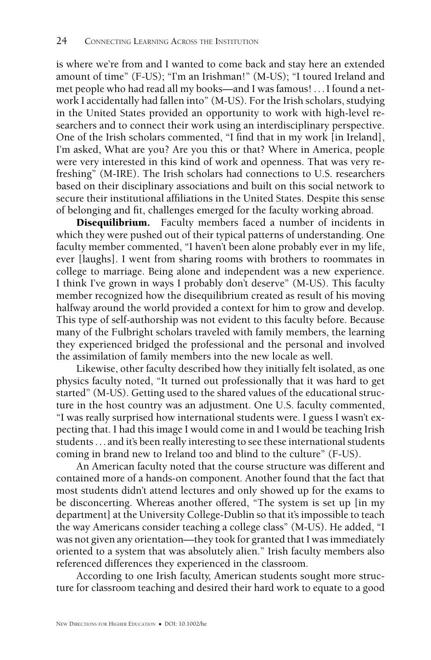is where we're from and I wanted to come back and stay here an extended amount of time" (F-US); "I'm an Irishman!" (M-US); "I toured Ireland and met people who had read all my books—and I was famous!...Ifound a network I accidentally had fallen into" (M-US). For the Irish scholars, studying in the United States provided an opportunity to work with high-level researchers and to connect their work using an interdisciplinary perspective. One of the Irish scholars commented, "I find that in my work [in Ireland], I'm asked, What are you? Are you this or that? Where in America, people were very interested in this kind of work and openness. That was very refreshing" (M-IRE). The Irish scholars had connections to U.S. researchers based on their disciplinary associations and built on this social network to secure their institutional affiliations in the United States. Despite this sense of belonging and fit, challenges emerged for the faculty working abroad.

**Disequilibrium.** Faculty members faced a number of incidents in which they were pushed out of their typical patterns of understanding. One faculty member commented, "I haven't been alone probably ever in my life, ever [laughs]. I went from sharing rooms with brothers to roommates in college to marriage. Being alone and independent was a new experience. I think I've grown in ways I probably don't deserve" (M-US). This faculty member recognized how the disequilibrium created as result of his moving halfway around the world provided a context for him to grow and develop. This type of self-authorship was not evident to this faculty before. Because many of the Fulbright scholars traveled with family members, the learning they experienced bridged the professional and the personal and involved the assimilation of family members into the new locale as well.

Likewise, other faculty described how they initially felt isolated, as one physics faculty noted, "It turned out professionally that it was hard to get started" (M-US). Getting used to the shared values of the educational structure in the host country was an adjustment. One U.S. faculty commented, "I was really surprised how international students were. I guess I wasn't expecting that. I had this image I would come in and I would be teaching Irish students . . . and it's been really interesting to see these international students coming in brand new to Ireland too and blind to the culture" (F-US).

An American faculty noted that the course structure was different and contained more of a hands-on component. Another found that the fact that most students didn't attend lectures and only showed up for the exams to be disconcerting. Whereas another offered, "The system is set up [in my department] at the University College-Dublin so that it's impossible to teach the way Americans consider teaching a college class" (M-US). He added, "I was not given any orientation—they took for granted that I was immediately oriented to a system that was absolutely alien." Irish faculty members also referenced differences they experienced in the classroom.

According to one Irish faculty, American students sought more structure for classroom teaching and desired their hard work to equate to a good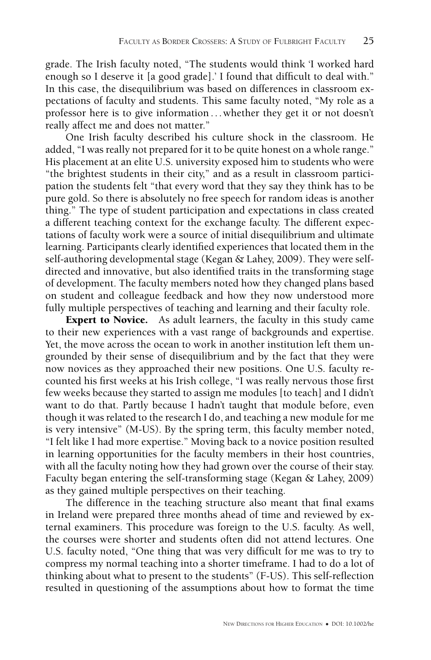grade. The Irish faculty noted, "The students would think 'I worked hard enough so I deserve it [a good grade].' I found that difficult to deal with." In this case, the disequilibrium was based on differences in classroom expectations of faculty and students. This same faculty noted, "My role as a professor here is to give information . . . whether they get it or not doesn't really affect me and does not matter."

One Irish faculty described his culture shock in the classroom. He added, "I was really not prepared for it to be quite honest on a whole range." His placement at an elite U.S. university exposed him to students who were "the brightest students in their city," and as a result in classroom participation the students felt "that every word that they say they think has to be pure gold. So there is absolutely no free speech for random ideas is another thing." The type of student participation and expectations in class created a different teaching context for the exchange faculty. The different expectations of faculty work were a source of initial disequilibrium and ultimate learning. Participants clearly identified experiences that located them in the self-authoring developmental stage (Kegan & Lahey, 2009). They were selfdirected and innovative, but also identified traits in the transforming stage of development. The faculty members noted how they changed plans based on student and colleague feedback and how they now understood more fully multiple perspectives of teaching and learning and their faculty role.

**Expert to Novice.** As adult learners, the faculty in this study came to their new experiences with a vast range of backgrounds and expertise. Yet, the move across the ocean to work in another institution left them ungrounded by their sense of disequilibrium and by the fact that they were now novices as they approached their new positions. One U.S. faculty recounted his first weeks at his Irish college, "I was really nervous those first few weeks because they started to assign me modules [to teach] and I didn't want to do that. Partly because I hadn't taught that module before, even though it was related to the research I do, and teaching a new module for me is very intensive" (M-US). By the spring term, this faculty member noted, "I felt like I had more expertise." Moving back to a novice position resulted in learning opportunities for the faculty members in their host countries, with all the faculty noting how they had grown over the course of their stay. Faculty began entering the self-transforming stage (Kegan & Lahey, 2009) as they gained multiple perspectives on their teaching.

The difference in the teaching structure also meant that final exams in Ireland were prepared three months ahead of time and reviewed by external examiners. This procedure was foreign to the U.S. faculty. As well, the courses were shorter and students often did not attend lectures. One U.S. faculty noted, "One thing that was very difficult for me was to try to compress my normal teaching into a shorter timeframe. I had to do a lot of thinking about what to present to the students" (F-US). This self-reflection resulted in questioning of the assumptions about how to format the time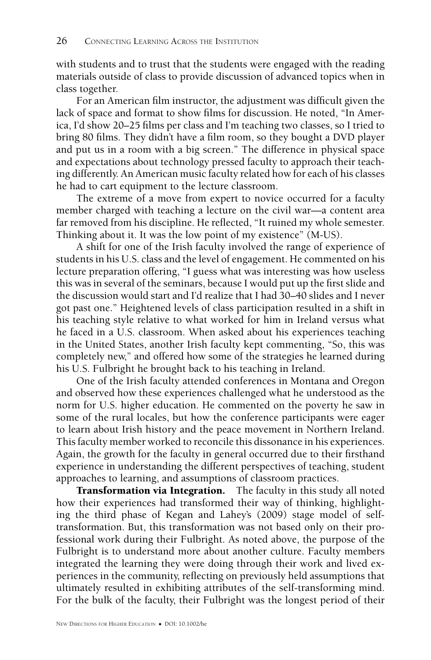with students and to trust that the students were engaged with the reading materials outside of class to provide discussion of advanced topics when in class together.

For an American film instructor, the adjustment was difficult given the lack of space and format to show films for discussion. He noted, "In America, I'd show 20–25 films per class and I'm teaching two classes, so I tried to bring 80 films. They didn't have a film room, so they bought a DVD player and put us in a room with a big screen." The difference in physical space and expectations about technology pressed faculty to approach their teaching differently. An American music faculty related how for each of his classes he had to cart equipment to the lecture classroom.

The extreme of a move from expert to novice occurred for a faculty member charged with teaching a lecture on the civil war—a content area far removed from his discipline. He reflected, "It ruined my whole semester. Thinking about it. It was the low point of my existence" (M-US).

A shift for one of the Irish faculty involved the range of experience of students in his U.S. class and the level of engagement. He commented on his lecture preparation offering, "I guess what was interesting was how useless this was in several of the seminars, because I would put up the first slide and the discussion would start and I'd realize that I had 30–40 slides and I never got past one." Heightened levels of class participation resulted in a shift in his teaching style relative to what worked for him in Ireland versus what he faced in a U.S. classroom. When asked about his experiences teaching in the United States, another Irish faculty kept commenting, "So, this was completely new," and offered how some of the strategies he learned during his U.S. Fulbright he brought back to his teaching in Ireland.

One of the Irish faculty attended conferences in Montana and Oregon and observed how these experiences challenged what he understood as the norm for U.S. higher education. He commented on the poverty he saw in some of the rural locales, but how the conference participants were eager to learn about Irish history and the peace movement in Northern Ireland. This faculty member worked to reconcile this dissonance in his experiences. Again, the growth for the faculty in general occurred due to their firsthand experience in understanding the different perspectives of teaching, student approaches to learning, and assumptions of classroom practices.

**Transformation via Integration.** The faculty in this study all noted how their experiences had transformed their way of thinking, highlighting the third phase of Kegan and Lahey's (2009) stage model of selftransformation. But, this transformation was not based only on their professional work during their Fulbright. As noted above, the purpose of the Fulbright is to understand more about another culture. Faculty members integrated the learning they were doing through their work and lived experiences in the community, reflecting on previously held assumptions that ultimately resulted in exhibiting attributes of the self-transforming mind. For the bulk of the faculty, their Fulbright was the longest period of their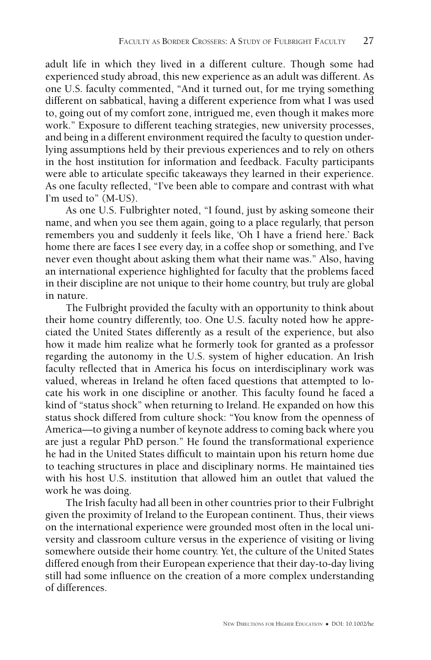adult life in which they lived in a different culture. Though some had experienced study abroad, this new experience as an adult was different. As one U.S. faculty commented, "And it turned out, for me trying something different on sabbatical, having a different experience from what I was used to, going out of my comfort zone, intrigued me, even though it makes more work." Exposure to different teaching strategies, new university processes, and being in a different environment required the faculty to question underlying assumptions held by their previous experiences and to rely on others in the host institution for information and feedback. Faculty participants were able to articulate specific takeaways they learned in their experience. As one faculty reflected, "I've been able to compare and contrast with what I'm used to" (M-US).

As one U.S. Fulbrighter noted, "I found, just by asking someone their name, and when you see them again, going to a place regularly, that person remembers you and suddenly it feels like, 'Oh I have a friend here.' Back home there are faces I see every day, in a coffee shop or something, and I've never even thought about asking them what their name was." Also, having an international experience highlighted for faculty that the problems faced in their discipline are not unique to their home country, but truly are global in nature.

The Fulbright provided the faculty with an opportunity to think about their home country differently, too. One U.S. faculty noted how he appreciated the United States differently as a result of the experience, but also how it made him realize what he formerly took for granted as a professor regarding the autonomy in the U.S. system of higher education. An Irish faculty reflected that in America his focus on interdisciplinary work was valued, whereas in Ireland he often faced questions that attempted to locate his work in one discipline or another. This faculty found he faced a kind of "status shock" when returning to Ireland. He expanded on how this status shock differed from culture shock: "You know from the openness of America—to giving a number of keynote address to coming back where you are just a regular PhD person." He found the transformational experience he had in the United States difficult to maintain upon his return home due to teaching structures in place and disciplinary norms. He maintained ties with his host U.S. institution that allowed him an outlet that valued the work he was doing.

The Irish faculty had all been in other countries prior to their Fulbright given the proximity of Ireland to the European continent. Thus, their views on the international experience were grounded most often in the local university and classroom culture versus in the experience of visiting or living somewhere outside their home country. Yet, the culture of the United States differed enough from their European experience that their day-to-day living still had some influence on the creation of a more complex understanding of differences.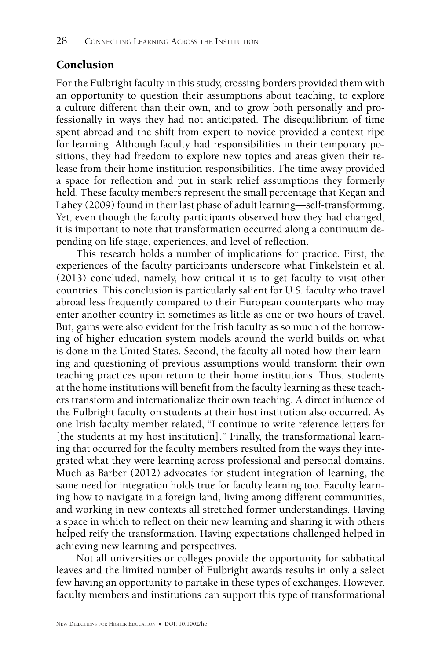#### **Conclusion**

For the Fulbright faculty in this study, crossing borders provided them with an opportunity to question their assumptions about teaching, to explore a culture different than their own, and to grow both personally and professionally in ways they had not anticipated. The disequilibrium of time spent abroad and the shift from expert to novice provided a context ripe for learning. Although faculty had responsibilities in their temporary positions, they had freedom to explore new topics and areas given their release from their home institution responsibilities. The time away provided a space for reflection and put in stark relief assumptions they formerly held. These faculty members represent the small percentage that Kegan and Lahey (2009) found in their last phase of adult learning—self-transforming. Yet, even though the faculty participants observed how they had changed, it is important to note that transformation occurred along a continuum depending on life stage, experiences, and level of reflection.

This research holds a number of implications for practice. First, the experiences of the faculty participants underscore what Finkelstein et al. (2013) concluded, namely, how critical it is to get faculty to visit other countries. This conclusion is particularly salient for U.S. faculty who travel abroad less frequently compared to their European counterparts who may enter another country in sometimes as little as one or two hours of travel. But, gains were also evident for the Irish faculty as so much of the borrowing of higher education system models around the world builds on what is done in the United States. Second, the faculty all noted how their learning and questioning of previous assumptions would transform their own teaching practices upon return to their home institutions. Thus, students at the home institutions will benefit from the faculty learning as these teachers transform and internationalize their own teaching. A direct influence of the Fulbright faculty on students at their host institution also occurred. As one Irish faculty member related, "I continue to write reference letters for [the students at my host institution]." Finally, the transformational learning that occurred for the faculty members resulted from the ways they integrated what they were learning across professional and personal domains. Much as Barber (2012) advocates for student integration of learning, the same need for integration holds true for faculty learning too. Faculty learning how to navigate in a foreign land, living among different communities, and working in new contexts all stretched former understandings. Having a space in which to reflect on their new learning and sharing it with others helped reify the transformation. Having expectations challenged helped in achieving new learning and perspectives.

Not all universities or colleges provide the opportunity for sabbatical leaves and the limited number of Fulbright awards results in only a select few having an opportunity to partake in these types of exchanges. However, faculty members and institutions can support this type of transformational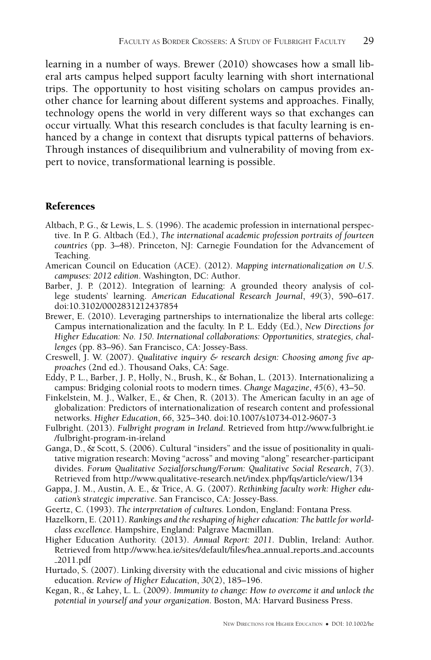learning in a number of ways. Brewer (2010) showcases how a small liberal arts campus helped support faculty learning with short international trips. The opportunity to host visiting scholars on campus provides another chance for learning about different systems and approaches. Finally, technology opens the world in very different ways so that exchanges can occur virtually. What this research concludes is that faculty learning is enhanced by a change in context that disrupts typical patterns of behaviors. Through instances of disequilibrium and vulnerability of moving from expert to novice, transformational learning is possible.

#### **References**

- Altbach, P. G., & Lewis, L. S. (1996). The academic profession in international perspective. In P. G. Altbach (Ed.), *The international academic profession portraits of fourteen countries* (pp. 3–48). Princeton, NJ: Carnegie Foundation for the Advancement of Teaching.
- American Council on Education (ACE). (2012). *Mapping internationalization on U.S. campuses: 2012 edition*. Washington, DC: Author.
- Barber, J. P. (2012). Integration of learning: A grounded theory analysis of college students' learning. *American Educational Research Journal*, *49*(3), 590–617. doi:10.3102/0002831212437854
- Brewer, E. (2010). Leveraging partnerships to internationalize the liberal arts college: Campus internationalization and the faculty. In P. L. Eddy (Ed.), *New Directions for Higher Education: No. 150. International collaborations: Opportunities, strategies, challenges* (pp. 83–96). San Francisco, CA: Jossey-Bass.
- Creswell, J. W. (2007). *Qualitative inquiry & research design: Choosing among five approaches* (2nd ed.). Thousand Oaks, CA: Sage.
- Eddy, P. L., Barber, J. P., Holly, N., Brush, K., & Bohan, L. (2013). Internationalizing a campus: Bridging colonial roots to modern times. *Change Magazine*, *45*(6), 43–50.
- Finkelstein, M. J., Walker, E., & Chen, R. (2013). The American faculty in an age of globalization: Predictors of internationalization of research content and professional networks. *Higher Education*, *66*, 325–340. doi:10.1007/s10734-012-9607-3
- Fulbright. (2013). *Fulbright program in Ireland*. Retrieved from [http://www.fulbright.ie](http://www.fulbright.ie/fulbright-program-in-ireland) [/fulbright-program-in-ireland](http://www.fulbright.ie/fulbright-program-in-ireland)
- Ganga, D., & Scott, S. (2006). Cultural "insiders" and the issue of positionality in qualitative migration research: Moving "across" and moving "along" researcher-participant divides. *Forum Qualitative Sozialforschung/Forum: Qualitative Social Research*, *7*(3). <Retrieved from http://www.qualitative-research.net/index.php/fqs/article/view/134>
- Gappa, J. M., Austin, A. E., & Trice, A. G. (2007). *Rethinking faculty work: Higher education's strategic imperative*. San Francisco, CA: Jossey-Bass.
- Geertz, C. (1993). *The interpretation of cultures.* London, England: Fontana Press*.*
- Hazelkorn, E. (2011). *Rankings and the reshaping of higher education: The battle for worldclass excellence.* Hampshire, England: Palgrave Macmillan.
- Higher Education Authority. (2013). *Annual Report: 2011*. Dublin, Ireland: Author. Retrieved from [http://www.hea.ie/sites/default/files/hea](http://www.hea.ie/sites/default/files/hea_annual_reports_and_accounts_2011.pdf) annual reports and accounts [2011.pdf](http://www.hea.ie/sites/default/files/hea_annual_reports_and_accounts_2011.pdf)
- Hurtado, S. (2007). Linking diversity with the educational and civic missions of higher education. *Review of Higher Education*, *30*(2), 185–196.
- Kegan, R., & Lahey, L. L. (2009). *Immunity to change: How to overcome it and unlock the potential in yourself and your organization*. Boston, MA: Harvard Business Press.